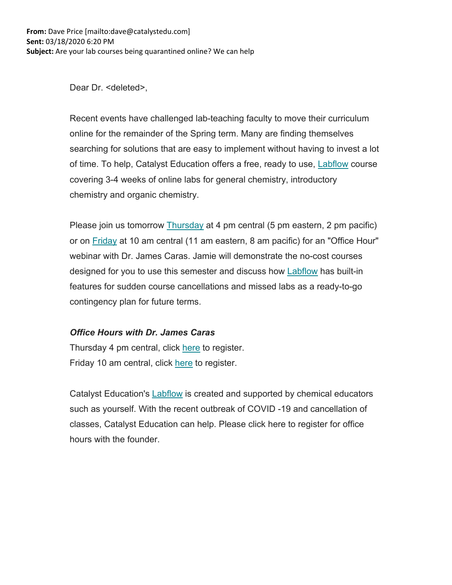Dear Dr. <deleted>,

Recent events have challenged lab-teaching faculty to move their curriculum online for the remainder of the Spring term. Many are finding themselves searching for solutions that are easy to implement without having to invest a lot of time. To help, Catalyst Education offers a free, ready to use, Labflow course covering 3-4 weeks of online labs for general chemistry, introductory chemistry and organic chemistry.

Please join us tomorrow Thursday at 4 pm central (5 pm eastern, 2 pm pacific) or on Friday at 10 am central (11 am eastern, 8 am pacific) for an "Office Hour" webinar with Dr. James Caras. Jamie will demonstrate the no-cost courses designed for you to use this semester and discuss how **Labflow** has built-in features for sudden course cancellations and missed labs as a ready-to-go contingency plan for future terms.

## *Office Hours with Dr. James Caras*

Thursday 4 pm central, click here to register. Friday 10 am central, click here to register.

Catalyst Education's **Labflow** is created and supported by chemical educators such as yourself. With the recent outbreak of COVID -19 and cancellation of classes, Catalyst Education can help. Please click here to register for office hours with the founder.